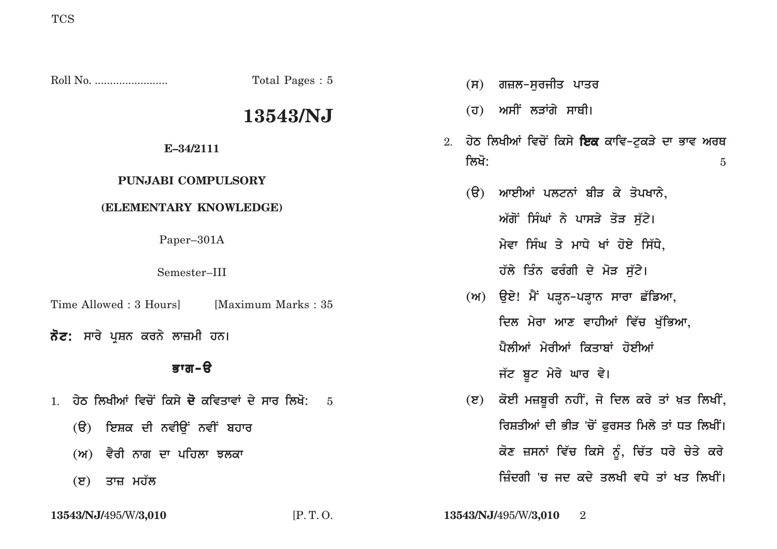|                                                       | Total Pages: 5      |  | (H)            | ਗਜ਼ਲ-ਸੁਰਜੀਤ ਪਾਤਰ                                                           |  |  |  |
|-------------------------------------------------------|---------------------|--|----------------|----------------------------------------------------------------------------|--|--|--|
|                                                       | 13543/NJ            |  |                | (ਹ) ਅਸੀਂ ਲੜਾਂਗੇ ਸਾਥੀ।                                                      |  |  |  |
| E-34/2111                                             |                     |  | ਲਿਖੋ:          | 2. ਹੇਠ ਲਿਖੀਆਂ ਵਿਚੋਂ ਕਿਸੇ <b>ਇਕ</b> ਕਾਵਿ–ਟੁਕੜੇ ਦਾ ਭਾਵ ਅਰਥ<br>$\overline{5}$ |  |  |  |
| <b>PUNJABI COMPULSORY</b><br>(ELEMENTARY KNOWLEDGE)   |                     |  |                | (ੳ) ਆਈਆਂ ਪਲਟਨਾਂ ਬੀੜ ਕੇ ਤੋਪਖਾਨੇ,                                            |  |  |  |
|                                                       |                     |  |                | ਅੱਗੋਂ ਸਿੰਘਾਂ ਨੇ ਪਾਸੜੇ ਤੋੜ ਸੁੱਟੇ।                                           |  |  |  |
| Paper-301A                                            |                     |  |                | ਮੇਵਾ ਸਿੰਘ ਤੇ ਮਾਧੇ ਖਾਂ ਹੋਏ ਸਿੱਧੇ,                                           |  |  |  |
| Semester-III                                          |                     |  |                | ਹੱਲੇ ਤਿੰਨ ਫਰੰਗੀ ਦੇ ਮੋੜ ਸੁੱਟੇ।                                              |  |  |  |
| Time Allowed : 3 Hours]                               | [Maximum Marks: 35] |  |                | (ਅ) ਉਏ! ਮੈਂ ਪੜ੍ਹਨ-ਪੜ੍ਹਾਨ ਸਾਰਾ ਛੱਡਿਆ,                                       |  |  |  |
| <b>ਨੋਟ:</b> ਸਾਰੇ ਪੁਸ਼ਨ ਕਰਨੇ ਲਾਜ਼ਮੀ ਹਨ।                |                     |  |                | ਦਿਲ ਮੇਰਾ ਆਣ ਵਾਹੀਆਂ ਵਿੱਚ ਖੁੱਭਿਆ,<br>ਪੈਲੀਆਂ ਮੇਰੀਆਂ ਕਿਤਾਬਾਂ ਹੋਈਆਂ             |  |  |  |
| ਭਾਗ-ੳ                                                 |                     |  |                | ਜੱਟ ਬੂਟ ਮੇਰੇ ਘਾਰ ਵੇ।                                                       |  |  |  |
| ਹੇਠ ਲਿਖੀਆਂ ਵਿਚੋਂ ਕਿਸੇ <b>ਦੋ</b> ਕਵਿਤਾਵਾਂ ਦੇ ਸਾਰ ਲਿਖੋ: | $-5$                |  | $(\mathbf{z})$ | ਕੋਈ ਮਜ਼ਬੂਰੀ ਨਹੀਂ, ਜੇ ਦਿਲ ਕਰੇ ਤਾਂ ਖ਼ਤ ਲਿਖੀਂ,                                |  |  |  |
| (ੳ) ਇਸ਼ਕ ਦੀ ਨਵੀਉਂ ਨਵੀਂ ਬਹਾਰ                           |                     |  |                | ਰਿਸ਼ਤੀਆਂ ਦੀ ਭੀੜ 'ਚੋਂ ਫੁਰਸਤ ਮਿਲੇ ਤਾਂ ਧਤ ਲਿਖੀਂ।                              |  |  |  |
| (ਅ) ਵੈਰੀ ਨਾਗ ਦਾ ਪਹਿਲਾ ਝਲਕ <u>ਾ</u>                    |                     |  |                | ਕੋਣ ਜ਼ਸਨਾਂ ਵਿੱਚ ਕਿਸੇ ਨੂੰ, ਚਿੱਤ ਧਰੇ ਚੇਤੇ ਕਰੇ                                |  |  |  |

- (ਅ) ਵੈਰੀ ਨਾਗ ਦਾ ਪਹਿਲਾ ਝਲਕਾ
- **(ੲ)** ਤਾਜ਼ ਮਹੱਲ

ਜ਼ਿੰਦਗੀ 'ਚ ਜਦ ਕਦੇ ਤਲਖੀ ਵਧੇ ਤਾਂ ਖਤ ਲਿਖੀਂ।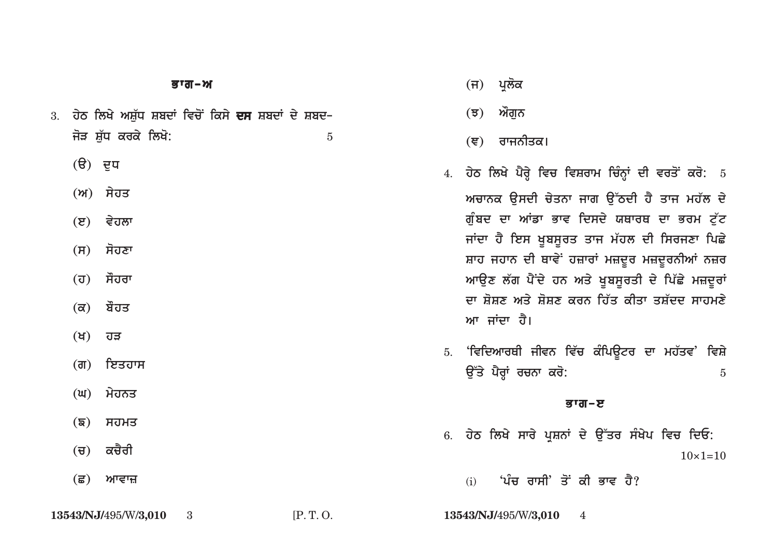|  |                     | 3.  ਹੇਠ ਲਿਖੇ ਅਸ਼ੱਧ ਸ਼ਬਦਾਂ ਵਿਚੋਂ ਕਿਸੇ <b>ਦਸ</b> ਸ਼ਬਦਾਂ ਦੇ ਸ਼ਬਦ– |  |  |  |
|--|---------------------|----------------------------------------------------------------|--|--|--|
|  | ਜੋੜ ਸ਼ੱਧ ਕਰਕੇ ਲਿਖੋ: |                                                                |  |  |  |

- **(ੳ)** ਦੁਧ
- **(A) syhq**
- **(e) vyhlw**
- **(s) sohxw**
- **(h) sOhrw**
- **(k) bOhq**
- **(K) hV**
- **(g) ieqhws**
- **(G) myhnq**
- <u>(</u>ਙ) ਸਹਮਤ
- (ਚ) ਕਚੈਰੀ
- **(C) Awvwz**

<u>(ਜ) ਪ੍ਰ</u>ਲੋਕ

**(J) AOgun**

(ਞ) ਰਾਜਨੀਤਕ।

- 4. ਹੇਠ ਲਿਖੇ ਪੈਰ੍ਹੇ ਵਿਚ ਵਿਸ਼ਰਾਮ ਚਿੰਨ੍ਹਾਂ ਦੀ ਵਰਤੋਂ ਕਰੋ: 5 ਅਚਾਨਕ ਉਸਦੀ ਚੇਤਨਾ ਜਾਗ ਉੱਠਦੀ ਹੈ ਤਾਜ ਮਹੱਲ ਦੇ ਗੰਬਦ ਦਾ ਆਂਡਾ ਭਾਵ ਦਿਸਦੇ ਯਥਾਰਥ ਦਾ ਭਰਮ ਟੱਟ ਜਾਂਦਾ ਹੈ ਇਸ ਖੂਬਸੂਰਤ ਤਾਜ ਮੱਹਲ ਦੀ ਸਿਰਜਣਾ ਪਿਛੇ ਸ਼ਾਹ ਜਹਾਨ ਦੀ ਥਾਵੇ<sup>:</sup> ਹਜ਼ਾਰਾਂ ਮਜ਼ਦੂਰ ਮਜ਼ਦੂਰਨੀਆਂ ਨਜ਼ਰ **ਆਉਣ ਲੱਗ ਪੈਂਦੇ ਹਨ ਅਤੇ ਖੁਬਸੁਰਤੀ ਦੇ ਪਿੱਛੇ ਮਜ਼ਦੂਰਾਂ** <u>ਦਾ ਸ਼ੋਸ਼ਣ ਅਤੇ ਸ਼ੋਸ਼ਣ ਕਰਨ ਹਿੱਤ ਕੀਤਾ ਤਸ਼ੱਦਦ ਸਾਹਮਣੇ</u> **ਆ ਜਾਂਦਾ ਹੈ।**
- 5. 'ਵਿਦਿਆਰਥੀ ਜੀਵਨ ਵਿੱਚ ਕੰਪਿਉਟਰ ਦਾ ਮਹੱਤਵ**' ਵਿਸ਼ੇ au~qy pYrHW rcnw kro:** <sup>5</sup>

## *B* a  $\overline{a}$

6. ਹੇਠ ਲਿਖੇ ਸਾਰੇ ਪਸ਼ਨਾਂ ਦੇ ਉੱਤਰ ਸੰਖੇਪ ਵਿਚ ਦਿਓ:  $10\times1=10$ 

(i) **'ਪੰਚ ਰਾਸੀ**' ਤੋਂ ਕੀ ਭਾਵ ਹੈ?

**13543/NJ/**495/W/**3,010** 3 [P. T. O. **13543/NJ/**495/W/**3,010** 4